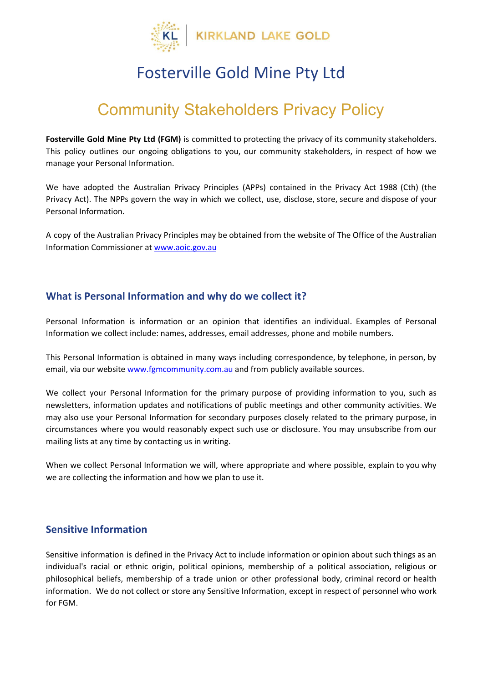

### Fosterville Gold Mine Pty Ltd

# Community Stakeholders Privacy Policy

**Fosterville Gold Mine Pty Ltd (FGM)** is committed to protecting the privacy of its community stakeholders. This policy outlines our ongoing obligations to you, our community stakeholders, in respect of how we manage your Personal Information.

We have adopted the Australian Privacy Principles (APPs) contained in the Privacy Act 1988 (Cth) (the Privacy Act). The NPPs govern the way in which we collect, use, disclose, store, secure and dispose of your Personal Information.

A copy of the Australian Privacy Principles may be obtained from the website of The Office of the Australian Information Commissioner at [www.aoic.gov.au](http://www.aoic.gov.au/)

#### **What is Personal Information and why do we collect it?**

Personal Information is information or an opinion that identifies an individual. Examples of Personal Information we collect include: names, addresses, email addresses, phone and mobile numbers.

This Personal Information is obtained in many ways including correspondence, by telephone, in person, by email, via our website [www.fgmcommunity.com.au](http://www.fgmcommunity.com.au/) and from publicly available sources.

We collect your Personal Information for the primary purpose of providing information to you, such as newsletters, information updates and notifications of public meetings and other community activities. We may also use your Personal Information for secondary purposes closely related to the primary purpose, in circumstances where you would reasonably expect such use or disclosure. You may unsubscribe from our mailing lists at any time by contacting us in writing.

When we collect Personal Information we will, where appropriate and where possible, explain to you why we are collecting the information and how we plan to use it.

#### **Sensitive Information**

Sensitive information is defined in the Privacy Act to include information or opinion about such things as an individual's racial or ethnic origin, political opinions, membership of a political association, religious or philosophical beliefs, membership of a trade union or other professional body, criminal record or health information. We do not collect or store any Sensitive Information, except in respect of personnel who work for FGM.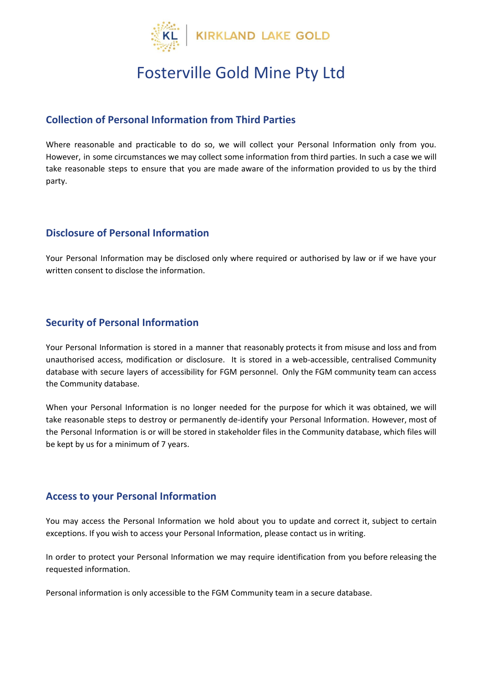

# Fosterville Gold Mine Pty Ltd

#### **Collection of Personal Information from Third Parties**

Where reasonable and practicable to do so, we will collect your Personal Information only from you. However, in some circumstances we may collect some information from third parties. In such a case we will take reasonable steps to ensure that you are made aware of the information provided to us by the third party.

#### **Disclosure of Personal Information**

Your Personal Information may be disclosed only where required or authorised by law or if we have your written consent to disclose the information.

#### **Security of Personal Information**

Your Personal Information is stored in a manner that reasonably protects it from misuse and loss and from unauthorised access, modification or disclosure. It is stored in a web-accessible, centralised Community database with secure layers of accessibility for FGM personnel. Only the FGM community team can access the Community database.

When your Personal Information is no longer needed for the purpose for which it was obtained, we will take reasonable steps to destroy or permanently de-identify your Personal Information. However, most of the Personal Information is or will be stored in stakeholder files in the Community database, which files will be kept by us for a minimum of 7 years.

#### **Access to your Personal Information**

You may access the Personal Information we hold about you to update and correct it, subject to certain exceptions. If you wish to access your Personal Information, please contact us in writing.

In order to protect your Personal Information we may require identification from you before releasing the requested information.

Personal information is only accessible to the FGM Community team in a secure database.